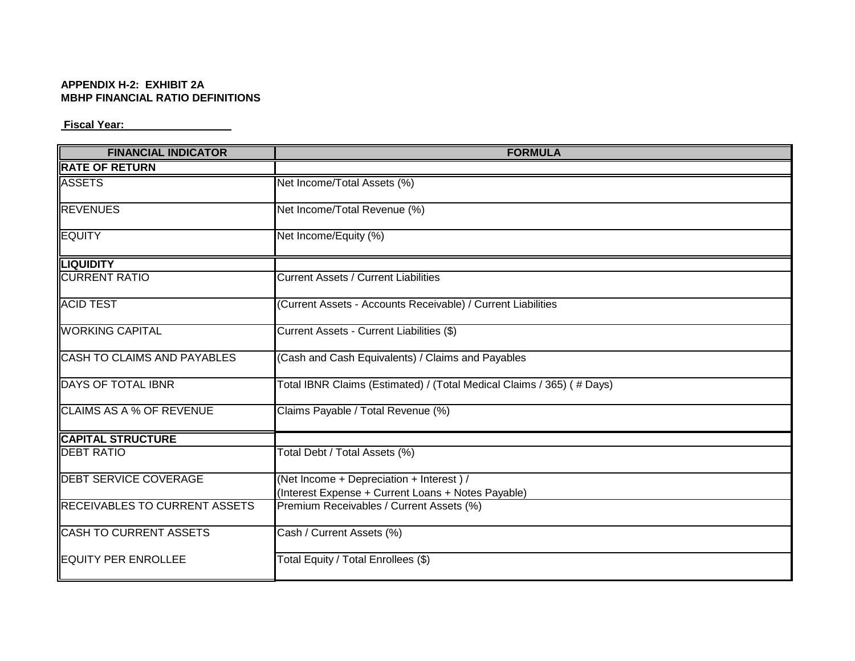## **APPENDIX H-2: EXHIBIT 2A MBHP FINANCIAL RATIO DEFINITIONS**

## **Fiscal Year:**

| <b>FINANCIAL INDICATOR</b>           | <b>FORMULA</b>                                                        |
|--------------------------------------|-----------------------------------------------------------------------|
| <b>RATE OF RETURN</b>                |                                                                       |
| <b>ASSETS</b>                        | Net Income/Total Assets (%)                                           |
| <b>REVENUES</b>                      | Net Income/Total Revenue (%)                                          |
| <b>EQUITY</b>                        | Net Income/Equity (%)                                                 |
| <b>LIQUIDITY</b>                     |                                                                       |
| <b>CURRENT RATIO</b>                 | <b>Current Assets / Current Liabilities</b>                           |
| <b>ACID TEST</b>                     | (Current Assets - Accounts Receivable) / Current Liabilities          |
| <b>WORKING CAPITAL</b>               | Current Assets - Current Liabilities (\$)                             |
| <b>CASH TO CLAIMS AND PAYABLES</b>   | (Cash and Cash Equivalents) / Claims and Payables                     |
| DAYS OF TOTAL IBNR                   | Total IBNR Claims (Estimated) / (Total Medical Claims / 365) (# Days) |
| <b>CLAIMS AS A % OF REVENUE</b>      | Claims Payable / Total Revenue (%)                                    |
| <b>CAPITAL STRUCTURE</b>             |                                                                       |
| <b>DEBT RATIO</b>                    | Total Debt / Total Assets (%)                                         |
| <b>DEBT SERVICE COVERAGE</b>         | (Net Income + Depreciation + Interest) /                              |
|                                      | (Interest Expense + Current Loans + Notes Payable)                    |
| <b>RECEIVABLES TO CURRENT ASSETS</b> | Premium Receivables / Current Assets (%)                              |
| <b>CASH TO CURRENT ASSETS</b>        | Cash / Current Assets (%)                                             |
| <b>EQUITY PER ENROLLEE</b>           | Total Equity / Total Enrollees (\$)                                   |